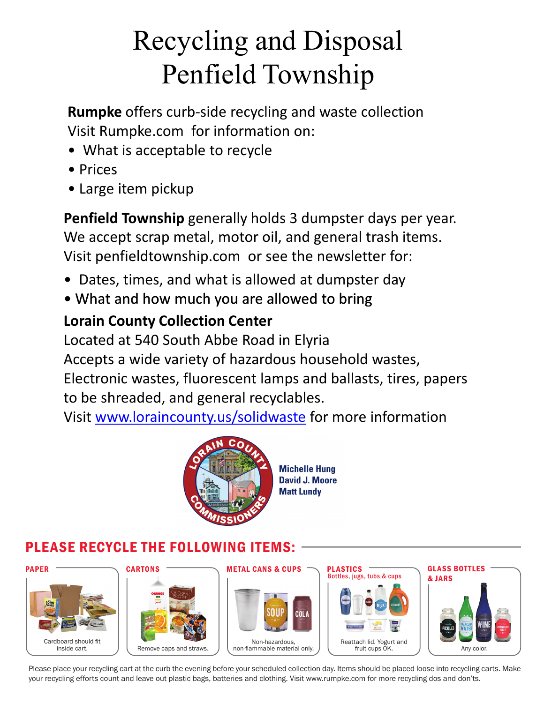# Recycling and Disposal Penfield Township

**Rumpke** offers curb-side recycling and waste collection Visit Rumpke.com for information on:

- What is acceptable to recycle
- Prices
- Large item pickup

**Penfield Township** generally holds 3 dumpster days per year. We accept scrap metal, motor oil, and general trash items. Visit penfieldtownship.com or see the newsletter for:

- Dates, times, and what is allowed at dumpster day
- What and how much you are allowed to bring

# **Lorain County Collection Center**

Located at 540 South Abbe Road in Elyria Accepts a wide variety of hazardous household wastes, Electronic wastes, fluorescent lamps and ballasts, tires, papers to be shreaded, and general recyclables.

Visit www.loraincounty.us/solidwaste for more information



**Michelle Hung David J. Moore Matt Lundy** 

# PLEASE RECYCLE THE FOLLOWING ITEMS:



Please place your recycling cart at the curb the evening before your scheduled collection day. Items should be placed loose into recycling carts. Make your recycling efforts count and leave out plastic bags, batteries and clothing. Visit www.rumpke.com for more recycling dos and don'ts.